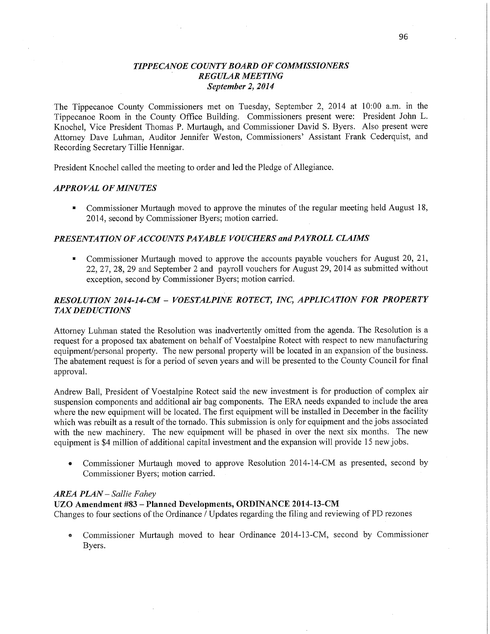# *TIPPECANOE COUNTY BOARD* OF *COMMISSIONERS ' REGULAR MEETING September* 2, *2014*

The Tippecanoe County Commissioners met on Tuesday, September 2, 2014 at **10:00** am. in the Tippecanoe Room in the County Office Building. Commissioners present were: President John L. Knochel, Vice President Thomas P. Murtaugh, and Commissioner David S. Byers. Also present were Attorney Dave Luhman, Auditor Jennifer Weston, Commissioners' **Assistant Frank** Cederquist, and Recording Secretary Tillie Hennigar.

President Knochel called the meeting to order and led the Pledge of Allegiance.

### *APPRO* VAL OF *MINUTES*

**I** Commissioner Murtaugh moved to approve the **minutes** of the regular meeting held August 18, 2014, second by **Commissioner** Byers; motion carried.

# **PRESENTATION OF ACCOUNTS PAYABLE VOUCHERS and PAYROLL CLAIMS**

**In all 20** Commissioner Murtaugh moved to approve the accounts payable vouchers for August 20, 21, 22, 27, 28, 29 and September 2 and payroll vouchers for August 29, 2014 as submitted without exception, second by Commissioner Byers; motion **carried.** 

# *RESOLUTION 2014-14-CM* — *VOESTALPINE ROTECT, INC, APPLICATION* FOR *PROPERTY*  TAX DED *UCTIONS*

Attorney Luhman stated the Resolution was inadvertently omitted from the agenda. The Resolution is a request for a proposed tax abatement on behalf of Voestalpine Rotect with respect to new manufacturing equipment/personal property. The new personal property will be located in an expansion of the business. The abatement request is for a period of seven years and will be presented to the County Council for final approval.

Andrew Ball, President of Voestalpine Rotect said the new investment is for production of complex air suspension components and additional air bag components. The ERA needs expanded to include the area where the new equipment will be located. The first equipment will be installed in December in the facility which was rebuilt as a result of the tornado. **This** submission is only for equipment and the jobs associated with the new machinery. The new equipment will be phased in over the next six months. The new equipment is \$4 million of additional capital investment and the expansion will provide 15 new jobs.

• Commissioner Murtaugh moved to approve Resolution 2014-14-CM as presented, second by Commissioner Byers; motion carried.

### *AREA PLAN* — *Sallie F ahey*

# UZO **Amendment** #83 **—** Planned Developments, **ORDINANCE 2014-13-CM**

Changes to four sections of the Ordinance **/** Updates regarding the filing and reviewing of PD rezones

**0** Commissioner Muttaugh moved to hear Ordinance 2014-13-CM, second by Commissioner Byers.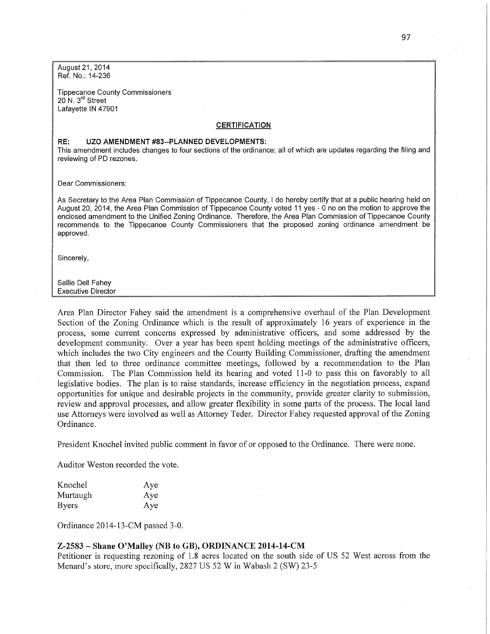August 21, 2014 Ref. No.: 14-236

Tippecanoe County **Commissioners**  20 N. 3rd **Street**  Lafayette IN 47901

#### **CERTIFICATION**

#### RE: UZO AMENDMENT #83--PLANNED DEVELOPMENTS:

**This** amendment includes changes to four sections of the ordinance; all of which are **updates regarding** the filing and reviewing of PD rezones.

Dear **Commissioners:** 

As Secretary to the Area Plan **Commission** of Tippecanoe County, *I* do hereby cenify that at a public hearing held on August 20, 2014, the Area Plan **Commission** of Tippecanoe County voted 11 yes *-* 0 no on the motion to approve the enclosed **amendment** to the Unified Zoning Ordinance. Therefore, the Area Plan **Commission** of Tippecanoe County recommends to the Tippecanoe **County Commissioners that** the **proposed** zoning ordinance amendment be approved.

Sincerely,

Sallie Dell Fahey Executive Director

Area Plan Director Fahey said the amendment is a comprehensive overhaul of the Plan Development Section of the Zoning Ordinance which is the result of approximately 16 years of experience in the process, some current concerns expressed by administrative officers, and some addressed by the development community. Over a year has been spent holding meetings of the administrative officers, which includes the two City engineers and the County Building Commissioner, drafting the amendment that then led to three ordinance committee meetings, followed by a recommendation to the Plan Commission. The Plan Commission held its hearing and voted 11-0 to pass this on favorably to all legislative bodies. The plan is to raise standards, increase efficiency in the negotiation process, expand opportunities for unique and desirable projects in the community, provide greater clarity to submission, review and approval processes, and allow greater flexibility in some parts of the process. The local land use Attorneys were involved as well as Attorney Teder. Director Fahey requested approval of the Zoning Ordinance.

President Knochel invited public comment in favor of or opposed to the Ordinance. There were none.

Auditor Weston recorded the vote.

| Knochel      | Aye |
|--------------|-----|
| Murtaugh     | Aye |
| <b>Byers</b> | Aye |

Ordinance 2014-13-CM passed 3-0.

#### **Z-2583** *—* Shane O'Malley (NB to GB), **ORDINANCE 2014-14-CM**

Petitioner is requesting rezoning of 1.8 acres located on the south side of US 52 West across from the Menard's store, more specifically, 2827 US 52 **W** in Wabash 2 (SW) 23-5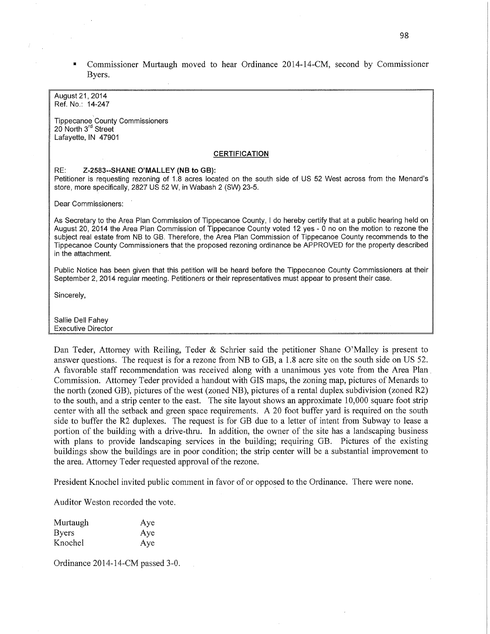**I** Commissioner Murtaugh moved to hear Ordinance 2014—14—CM, second by Commissioner Byers.

August 21, 2014 Ref. No.: 14-247

**Tippecanoe County Commissioners** 20 **North** 3rd Street Lafayette, IN 47901

#### **CERTIFICATION**

#### RE: Z-2583--SHANE O'MALLEY (NB to GB):

Petitioner is requesting rezoning of 1.8 **acres** located on the **south side** of 'US 52 **West** across from the Menard's store, more specifically, 2827 US 52 W, in Wabash 2 (SW) 23-5.

Dear **Commissioners:** 

As Secretary to the Area Plan **Commission** of **Tippecanoe** County, *I* do hereby certify that at a public hearing held on August 20, 2014 the Area Plan **Commission** of Tippecanoe County voted 12 yes *-* 0 no on the motion to rezone the subject real estate from NB to GB. Therefore, the Area Plan **Commission** of Tippecanoe County recommends to the Tippecanoe County **Commissioners** that the **proposed** rezoning ordinance be APPROVED for the propefiy described in the attachment.

**Public** Notice has been given **that this petition** will be heard before the **Tippecanoe** County **Commissioners** at their September 2, 2014 regular meeting. **Petitioners** or their representatives must appear to **present their** case.

Sincerely,

Sallie Dell Fahey Executive Director

Dan Teder, Attorney with Reiling, Teder & Schrier said the petitioner Shane O'Malley is present to answer questions. The request is for a rezone from NB to GB, a 1.8 acre site on the south side on US 52. A favorable staff recommendation was received along with a unanimous yes vote from the Area Plan. Commission. Attorney Teder provided a handout with GIS maps, the zoning map, pictures of Menards to the north (zoned GB), pictures of the west (zoned NB), pictures of a rental duplex subdivision (zoned R2) to the south, and **a** strip center to the east. The site layout shows an approximate 10,000 square foot strip center with all the setback and green space requirements. A 20 foot buffer yard is required on the south side to buffer the R2 duplexes. The request is for GB due to a letter of intent from Subway to lease <sup>a</sup> portion of the building with a drive-thru. In addition, the owner of the site has a landscaping business with plans to provide landscaping services in the building; requiring GB. Pictures of the existing buildings show the buildings are in poor condition; the strip center will be a substantial improvement to the area. Attorney Teder requested approval of the rezone.

President Knochel invited public comment in favor of or opposed to the Ordinance. There were none.

Auditor Weston recorded the vote.

| Murtaugh     | Aye |
|--------------|-----|
| <b>Byers</b> | Aye |
| Knochel      | Aye |

Ordinance 2014-14-CM passed 3-0.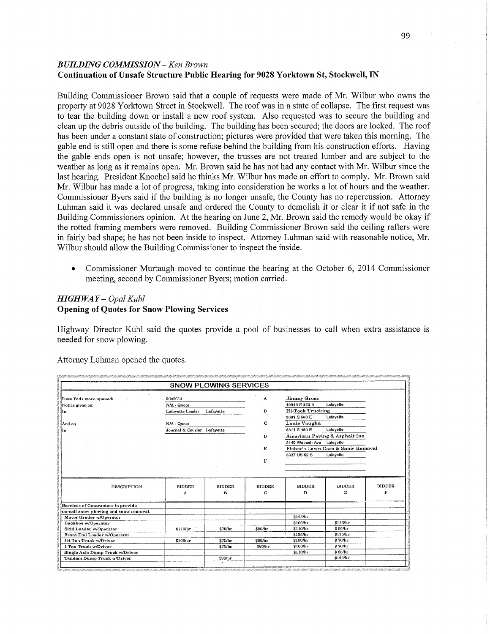# *BUILDING COMMISSION* **—** Ken *Browh*  **Continuation** of **Unsafe Structure** Public **Hearing** for **9028 Yorktown** St, Stockwell, IN

Building Commissioner Brown said **that a** couple of requests were made of Mr. Wilbur who owns the property at 9028 Yorktown Street in Stockwell. The roof was in a state of collapse. The first request was to tear the building down or install a new roof system. Also requested was to secure the building and clean up the debris outside of the building. The building has been secured; the doors are locked. The **roof**  has been under a constant state of construction; pictures were provided that were taken this morning. The gable end is still open and there is some refuse behind the building from his construction efforts. Having the gable **ends** open is not unsafe; however, the trusses are not treated lumber and are subject to the weather as long as it remains open. Mr. Brown said he has not had any contact with Mr. Wilbur **since** the last hearing. President Knochel said he thinks Mr. Wilbur has made an effort to comply. Mr. Brown said Mr. Wilbur has made a lot of progress, taking into consideration he works a lot of hours and the weather. Commissioner Byers said if the building 1s no longer unsafe, the County has no repercussion. Attorney Luhman said it was declared unsafe and ordered the County to demolish it or clear it if not safe in the Building Commissioners opinion. At the hearing on June 2, Mr. Brown said the remedy would be okay if the rotted framing members were **removed.** Building Commissioner Brown said the ceiling rafters were in fairly bad shape; he has not been inside to inspect. Attorney Luhman said with reasonable notice, Mr. Wilbur should allow the Building Commissioner to inspect the inside.

**0** Commissioner Murtaugh moved to continue the hearing at the October 6, 2014 Commissioner meeting, second by Commissioner Byers; motion carried.

# *HIGHWAY* — *Opal Kuhl*

# **Opening** of **Quotes** for **Snow** Plowing **Services**

Highway Director Kuhl said the quotes provide **a** pool of businesses to call when extra assistance is needed for snow **plowing.** 

Attorney Luhman opened the quotes.

| 9/2/2014<br>N/A - Quota<br>Lafayette Leader<br>N/A - Quote<br>Journal & Courier Lafayette | Lafayette | A<br>в<br>C<br>D<br>E | Jimmy Gross<br>10848 E 350 N<br>Hi-Tech Trucking<br>3691 S 500 E<br>Louis Vaughn<br>5811 S 450 E | Lafavette<br>Lafayette<br>Lafayette<br>American Paving & Asphalt Inc.<br>Lafavette |               |  |
|-------------------------------------------------------------------------------------------|-----------|-----------------------|--------------------------------------------------------------------------------------------------|------------------------------------------------------------------------------------|---------------|--|
|                                                                                           |           |                       |                                                                                                  |                                                                                    |               |  |
|                                                                                           |           |                       |                                                                                                  |                                                                                    |               |  |
|                                                                                           |           |                       |                                                                                                  |                                                                                    |               |  |
|                                                                                           |           |                       |                                                                                                  |                                                                                    |               |  |
|                                                                                           |           |                       |                                                                                                  |                                                                                    |               |  |
|                                                                                           |           |                       |                                                                                                  |                                                                                    |               |  |
|                                                                                           |           |                       |                                                                                                  |                                                                                    |               |  |
|                                                                                           |           |                       |                                                                                                  | 2149 Wabash Ave                                                                    |               |  |
|                                                                                           |           |                       | Fisher's Lawn Care & Snow Removal                                                                |                                                                                    |               |  |
|                                                                                           |           |                       | 8837 US 62 S                                                                                     | Lafayelle                                                                          |               |  |
|                                                                                           |           | F                     |                                                                                                  |                                                                                    |               |  |
|                                                                                           |           |                       |                                                                                                  |                                                                                    |               |  |
|                                                                                           |           |                       |                                                                                                  |                                                                                    |               |  |
| <b>BIDDER</b>                                                                             | BIDDER.   | <b>BIDDER</b>         | <b>BIDDER</b>                                                                                    | <b>BIDDER</b>                                                                      | <b>BIDDER</b> |  |
|                                                                                           | в         | C                     | D                                                                                                | ${\bf E}$                                                                          | F             |  |
|                                                                                           |           |                       |                                                                                                  |                                                                                    |               |  |
|                                                                                           |           |                       |                                                                                                  |                                                                                    |               |  |
|                                                                                           |           |                       |                                                                                                  |                                                                                    |               |  |
|                                                                                           |           |                       | \$125/hr                                                                                         |                                                                                    |               |  |
|                                                                                           |           |                       | \$100/hr                                                                                         | \$125/hv                                                                           |               |  |
| \$110/hr                                                                                  | \$75/hr   | \$80/hr               | \$110/hr                                                                                         | $$86$ hr                                                                           |               |  |
|                                                                                           |           |                       | \$135/hr                                                                                         | \$125/hr                                                                           |               |  |
| \$100/hr                                                                                  | \$70/hr   | \$65/hr               | \$100/hr                                                                                         | \$70/hr                                                                            |               |  |
|                                                                                           | \$70/hr   | \$66/hc               | \$100/hr                                                                                         | \$70/hr                                                                            |               |  |
|                                                                                           |           |                       | \$110/hr                                                                                         |                                                                                    |               |  |
|                                                                                           |           |                       |                                                                                                  | \$125/hr                                                                           |               |  |
|                                                                                           | л         | \$90/hr               |                                                                                                  |                                                                                    | \$85/hr       |  |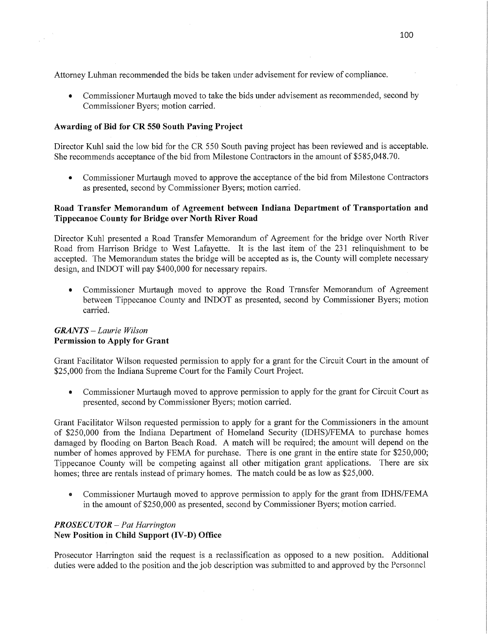Attorney Luhman recommended the bids be taken under advisement for review of compliance.

**0** Commissioner Murtaugh moved to take the bids under advisement as recommended, second by Commissioner Byers; motion carried.

# **Awarding** of Bid for CR 550 **South Paving Project**

Director Kuhl said the low bid for the CR 550 South paving project has been reviewed and is acceptable. She recommends acceptance of the bid from Milestone Contractors in the amount of \$585,048.70.

• Commissioner Murtaugh moved to approve the acceptance of the bid from Milestone Contractors as presented, second by Commissioner Byers; motion carried.

# **Road Transfer Memorandum** of **Agreement between Indiana Department** of **Transportation** and **Tippecanoe** County for **Bridge over North River Road**

Director Kuhl presented a Road Transfer Memorandum of Agreement for the bridge over North River Road from Harrison Bridge to West Lafayette. It is the last item of the 231 relinquishment to be accepted. The Memorandum states the bridge will be accepted as is, the County will complete necessary design, and INDOT will pay \$400,000 for necessary repairs.

**0** Commissioner Murtaugh moved to approve the Road Transfer Memorandum of Agreement between Tippecanoe County and INDOT as presented, second by Commissioner Byers; motion carried.

# *GRANTS* — *Laurie Wilson*  **Permission** to **Apply** for **Grant**

Grant Facilitator Wilson requested permission to apply for a grant for the Circuit Court in the amount of \$25,000 from the Indiana Supreme Court for the Family Court Project.

**0** Commissioner Murtaugh moved to approve permission to apply for the grant for Circuit Court as presented, second by Commissioner Byers; motion carried. '

Grant Facilitator Wilson requested permission to apply for a grant for the Commissioners in the amount of \$250,000 from the Indiana Department of Homeland Security (1DHS)/FEMA to purchase homes damaged by flooding on Barton Beach Road. **A** match will be required; the amount Will depend on the number of homes approved by FEMA for purchase. There is one grant in the entire state for \$250,000; Tippecanoe County will be competing against all other mitigation grant applications. There are six homes; three are rentals instead of primary homes. The match could be as low as \$25,000.

• Commissioner Murtaugh moved to approve permission to apply for the grant from IDHS/FEMA in the amount of \$250,000 as presented, second by Commissioner Byers; motion carried.

# PR *OSECU* TOR *—'Pat Harrington*  New Position in Child **Support** (IV-D) **Office**

Prosecutor Harrington said the request is a reclassification as opposed to a new position. Additional duties were added to the position and the job description was submitted to and approved by the Personnel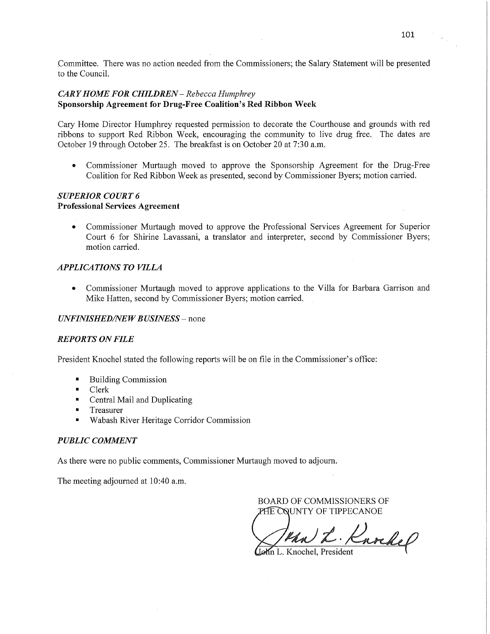Committee. There was no action needed from the Commissioners; the Salary Statement will be presented to the Council.

### *CARY HOME* FOR *CHILDREN* — *Rebecca Humphrey*  Sponsorship **Agreement** for **Drug-Free** Coalition's Red **Ribbon Week**

Cary Home Director Humphrey requested permission to decorate the Courthouse and grounds with red ribbons to support Red Ribbon Week, encouraging the community to live drug free, The dates are October 19 through October 25. The breakfast is on October 20 at 7:30 am.

**0** Commissioner Murtaugh moved to approve the Sponsorship Agreement for the Drug-Free Coalition for Red Ribbon Week as presented, second by Commissioner Byers; motion carried.

# *SUPERIOR COURT 6*  **Professional Services Agreement**

0' Commissioner Murtaugh moved to approve the Professional Services Agreement for Superior Court 6 for **Shirine** Lavassani, a translator and interpreter, second by Commissioner Byers; motion carried.

# **APPLICATIONS TO VILLA**

*0* Commissioner Murtaugh moved to approve applications to the Villa for Barbara Garrison and Mike Hatten, second by Commissioner Byers; motion carried.

## *UNFINISHED/NEW BUSINESS* – none

# *REPORTS* ON *FILE*

President Knochel stated the following reports Will be on file in the Commissioner's office:

- Building Commission  $\blacksquare$
- Clerk
- $\blacksquare$ Central Mail and Duplicating
- Treasurer
- Wabash River Heritage Corridor Commission

### *PUBLIC COMMENT*

As there were no public comments, Commissioner Murtaugh moved to adjourn.

The meeting adjourned at 10:40 a.m.

BOARD OF COMMISSIONERS OF PHE COUNTY OF TIPPECANOE

tha L. Knochel

Lehn L. Knochel, President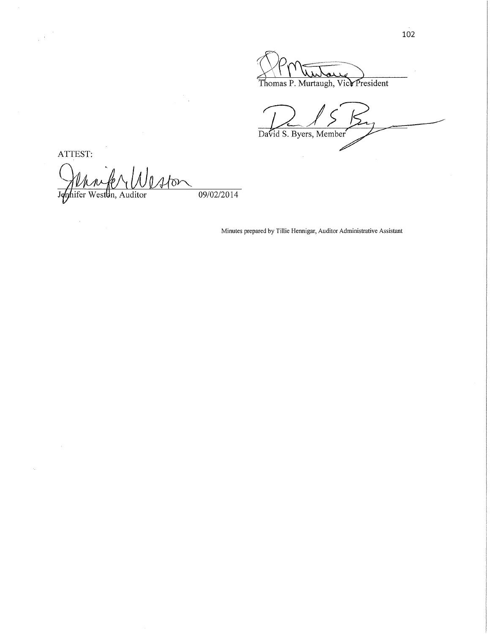'\ \ Thomas P. Murtaugh, Vict President

72/57; */*  David S. Byers, Member

ATTEST:

k,

June Property Waton

Minutes prepared by Tillie Hennigar, Auditor Administrative Assistant